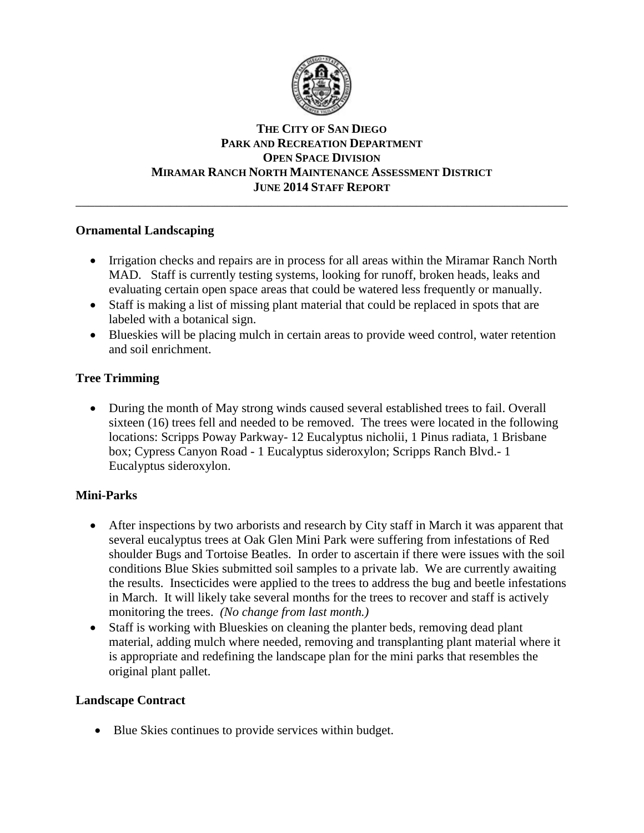

### **THE CITY OF SAN DIEGO PARK AND RECREATION DEPARTMENT OPEN SPACE DIVISION MIRAMAR RANCH NORTH MAINTENANCE ASSESSMENT DISTRICT JUNE 2014 STAFF REPORT** \_\_\_\_\_\_\_\_\_\_\_\_\_\_\_\_\_\_\_\_\_\_\_\_\_\_\_\_\_\_\_\_\_\_\_\_\_\_\_\_\_\_\_\_\_\_\_\_\_\_\_\_\_\_\_\_\_\_\_\_\_\_\_\_\_\_\_\_\_\_\_\_\_\_\_\_\_\_

# **Ornamental Landscaping**

- Irrigation checks and repairs are in process for all areas within the Miramar Ranch North MAD. Staff is currently testing systems, looking for runoff, broken heads, leaks and evaluating certain open space areas that could be watered less frequently or manually.
- Staff is making a list of missing plant material that could be replaced in spots that are labeled with a botanical sign.
- Blueskies will be placing mulch in certain areas to provide weed control, water retention and soil enrichment.

# **Tree Trimming**

 During the month of May strong winds caused several established trees to fail. Overall sixteen (16) trees fell and needed to be removed. The trees were located in the following locations: Scripps Poway Parkway- 12 Eucalyptus nicholii, 1 Pinus radiata, 1 Brisbane box; Cypress Canyon Road - 1 Eucalyptus sideroxylon; Scripps Ranch Blvd.- 1 Eucalyptus sideroxylon.

# **Mini-Parks**

- After inspections by two arborists and research by City staff in March it was apparent that several eucalyptus trees at Oak Glen Mini Park were suffering from infestations of Red shoulder Bugs and Tortoise Beatles. In order to ascertain if there were issues with the soil conditions Blue Skies submitted soil samples to a private lab. We are currently awaiting the results. Insecticides were applied to the trees to address the bug and beetle infestations in March. It will likely take several months for the trees to recover and staff is actively monitoring the trees. *(No change from last month.)*
- Staff is working with Blueskies on cleaning the planter beds, removing dead plant material, adding mulch where needed, removing and transplanting plant material where it is appropriate and redefining the landscape plan for the mini parks that resembles the original plant pallet.

# **Landscape Contract**

• Blue Skies continues to provide services within budget.